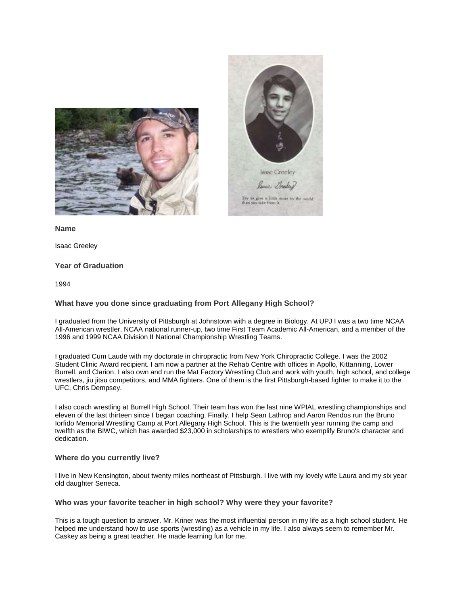



**Name**

Isaac Greeley

## **Year of Graduation**

1994

### **What have you done since graduating from Port Allegany High School?**

I graduated from the University of Pittsburgh at Johnstown with a degree in Biology. At UPJ I was a two time NCAA All-American wrestler, NCAA national runner-up, two time First Team Academic All-American, and a member of the 1996 and 1999 NCAA Division II National Championship Wrestling Teams.

I graduated Cum Laude with my doctorate in chiropractic from New York Chiropractic College. I was the 2002 Student Clinic Award recipient. I am now a partner at the Rehab Centre with offices in Apollo, Kittanning, Lower Burrell, and Clarion. I also own and run the Mat Factory Wrestling Club and work with youth, high school, and college wrestlers, jiu jitsu competitors, and MMA fighters. One of them is the first Pittsburgh-based fighter to make it to the UFC, Chris Dempsey.

I also coach wrestling at Burrell High School. Their team has won the last nine WPIAL wrestling championships and eleven of the last thirteen since I began coaching. Finally, I help Sean Lathrop and Aaron Rendos run the Bruno Iorfido Memorial Wrestling Camp at Port Allegany High School. This is the twentieth year running the camp and twelfth as the BIWC, which has awarded \$23,000 in scholarships to wrestlers who exemplify Bruno's character and dedication.

#### **Where do you currently live?**

I live in New Kensington, about twenty miles northeast of Pittsburgh. I live with my lovely wife Laura and my six year old daughter Seneca.

#### **Who was your favorite teacher in high school? Why were they your favorite?**

This is a tough question to answer. Mr. Kriner was the most influential person in my life as a high school student. He helped me understand how to use sports (wrestling) as a vehicle in my life. I also always seem to remember Mr. Caskey as being a great teacher. He made learning fun for me.